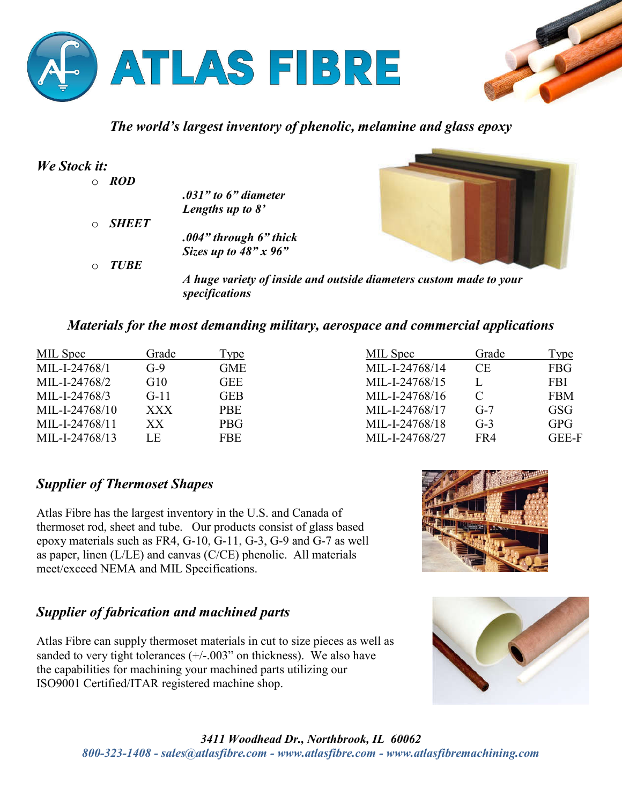



## *The world's largest inventory of phenolic, melamine and glass epoxy*

| We Stock it:            |                                                                    |  |  |
|-------------------------|--------------------------------------------------------------------|--|--|
| <b>ROD</b><br>$\circ$   |                                                                    |  |  |
|                         | $.031"$ to 6" diameter                                             |  |  |
|                         | Lengths up to $8'$                                                 |  |  |
| <b>SHEET</b><br>$\circ$ |                                                                    |  |  |
|                         | $.004"$ through 6" thick                                           |  |  |
|                         | Sizes up to $48" \times 96"$                                       |  |  |
| <b>TUBE</b><br>O        |                                                                    |  |  |
|                         | A huge variety of inside and outside diameters custom made to your |  |  |
|                         | specifications                                                     |  |  |

### *Materials for the most demanding military, aerospace and commercial applications*

| MIL Spec       | Grade      | $\Gamma$ <sub>ype</sub> | MIL Spec       | Grade     | Type         |
|----------------|------------|-------------------------|----------------|-----------|--------------|
| MIL-I-24768/1  | $G-9$      | <b>GME</b>              | MIL-I-24768/14 | <b>CE</b> | <b>FBG</b>   |
| MIL-I-24768/2  | G10        | <b>GEE</b>              | MIL-I-24768/15 |           | <b>FBI</b>   |
| MIL-I-24768/3  | $G-11$     | <b>GEB</b>              | MIL-I-24768/16 |           | <b>FBM</b>   |
| MIL-I-24768/10 | <b>XXX</b> | <b>PBE</b>              | MIL-I-24768/17 | $G-7$     | <b>GSG</b>   |
| MIL-I-24768/11 | XХ         | <b>PBG</b>              | MIL-I-24768/18 | $G-3$     | <b>GPG</b>   |
| MIL-I-24768/13 | LE         | <b>FBE</b>              | MIL-I-24768/27 | FR4       | <b>GEE-F</b> |

### *Supplier of Thermoset Shapes*

Atlas Fibre has the largest inventory in the U.S. and Canada of thermoset rod, sheet and tube. Our products consist of glass based epoxy materials such as FR4, G-10, G-11, G-3, G-9 and G-7 as well as paper, linen (L/LE) and canvas (C/CE) phenolic. All materials meet/exceed NEMA and MIL Specifications.

# *Supplier of fabrication and machined parts*

Atlas Fibre can supply thermoset materials in cut to size pieces as well as sanded to very tight tolerances  $(+/-.003)$ " on thickness). We also have the capabilities for machining your machined parts utilizing our ISO9001 Certified/ITAR registered machine shop.